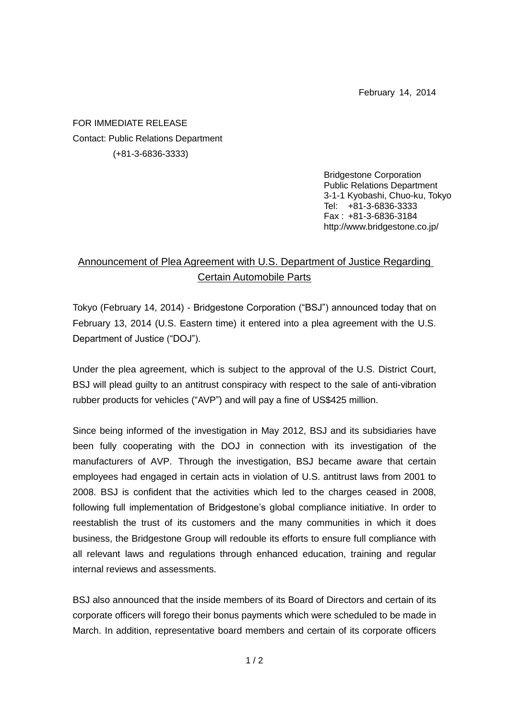February 14, 2014

FOR IMMEDIATE RELEASE Contact: Public Relations Department (+81-3-6836-3333)

> Bridgestone Corporation Public Relations Department 3-1-1 Kyobashi, Chuo-ku, Tokyo Tel: +81-3-6836-3333 Fax : +81-3-6836-3184 http://www.bridgestone.co.jp/

## Announcement of Plea Agreement with U.S. Department of Justice Regarding Certain Automobile Parts

Tokyo (February 14, 2014) - Bridgestone Corporation ("BSJ") announced today that on February 13, 2014 (U.S. Eastern time) it entered into a plea agreement with the U.S. Department of Justice ("DOJ").

Under the plea agreement, which is subject to the approval of the U.S. District Court, BSJ will plead guilty to an antitrust conspiracy with respect to the sale of anti-vibration rubber products for vehicles ("AVP") and will pay a fine of US\$425 million.

Since being informed of the investigation in May 2012, BSJ and its subsidiaries have been fully cooperating with the DOJ in connection with its investigation of the manufacturers of AVP. Through the investigation, BSJ became aware that certain employees had engaged in certain acts in violation of U.S. antitrust laws from 2001 to 2008. BSJ is confident that the activities which led to the charges ceased in 2008, following full implementation of Bridgestone's global compliance initiative. In order to reestablish the trust of its customers and the many communities in which it does business, the Bridgestone Group will redouble its efforts to ensure full compliance with all relevant laws and regulations through enhanced education, training and regular internal reviews and assessments.

BSJ also announced that the inside members of its Board of Directors and certain of its corporate officers will forego their bonus payments which were scheduled to be made in March. In addition, representative board members and certain of its corporate officers